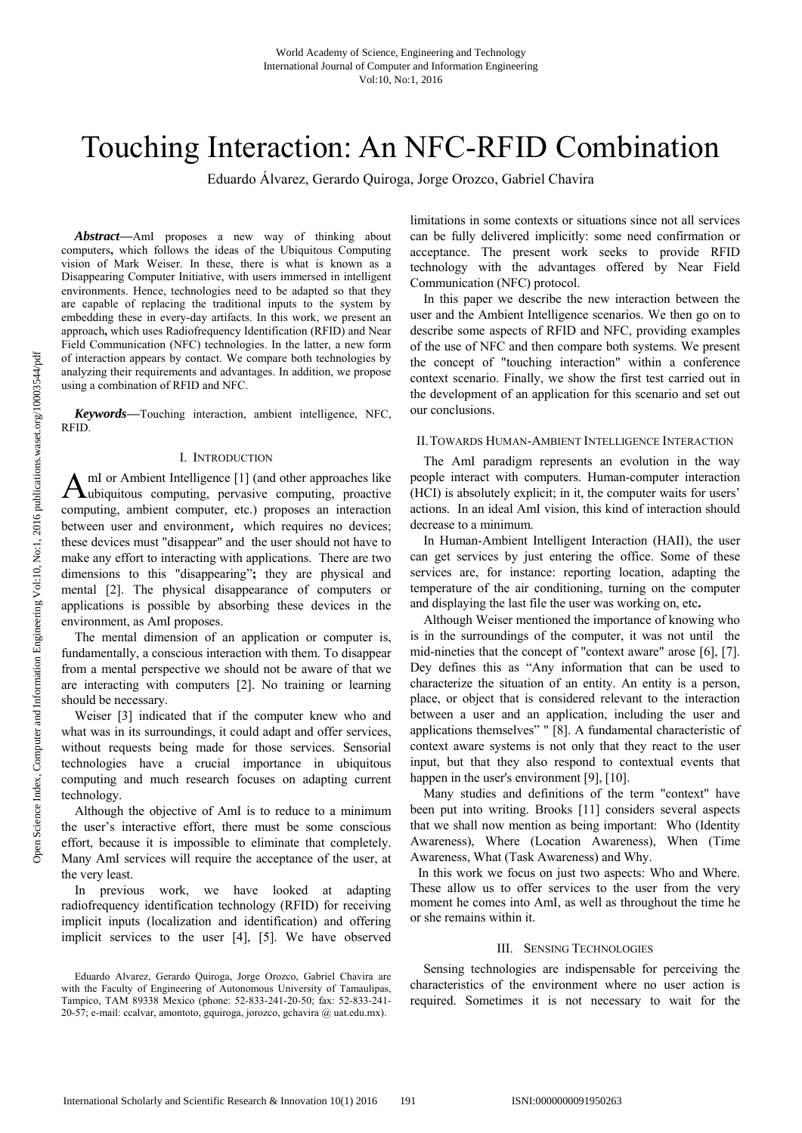# Touching Interaction: An NFC-RFID Combination

Eduardo Álvarez, Gerardo Quiroga, Jorge Orozco, Gabriel Chavira

*Abstract***—**AmI proposes a new way of thinking about computers**,** which follows the ideas of the Ubiquitous Computing vision of Mark Weiser. In these, there is what is known as a Disappearing Computer Initiative, with users immersed in intelligent environments. Hence, technologies need to be adapted so that they are capable of replacing the traditional inputs to the system by embedding these in every-day artifacts. In this work, we present an approach**,** which uses Radiofrequency Identification (RFID) and Near Field Communication (NFC) technologies. In the latter, a new form of interaction appears by contact. We compare both technologies by analyzing their requirements and advantages. In addition, we propose using a combination of RFID and NFC.

*Keywords***—**Touching interaction, ambient intelligence, NFC, RFID.

## I. INTRODUCTION

mI or Ambient Intelligence [1] (and other approaches like  $A<sup>ml</sup>$  or Ambient Intelligence [1] (and other approaches like Uubiquitous computing, proactive computing, proactive computing, ambient computer, etc.) proposes an interaction between user and environment, which requires no devices; these devices must "disappear" and the user should not have to make any effort to interacting with applications. There are two dimensions to this "disappearing"**;** they are physical and mental [2]. The physical disappearance of computers or applications is possible by absorbing these devices in the environment, as AmI proposes.

The mental dimension of an application or computer is, fundamentally, a conscious interaction with them. To disappear from a mental perspective we should not be aware of that we are interacting with computers [2]. No training or learning should be necessary.

Weiser [3] indicated that if the computer knew who and what was in its surroundings, it could adapt and offer services, without requests being made for those services. Sensorial technologies have a crucial importance in ubiquitous computing and much research focuses on adapting current technology.

Although the objective of AmI is to reduce to a minimum the user's interactive effort, there must be some conscious effort, because it is impossible to eliminate that completely. Many AmI services will require the acceptance of the user, at the very least.

In previous work, we have looked at adapting radiofrequency identification technology (RFID) for receiving implicit inputs (localization and identification) and offering implicit services to the user [4], [5]. We have observed limitations in some contexts or situations since not all services can be fully delivered implicitly: some need confirmation or acceptance. The present work seeks to provide RFID technology with the advantages offered by Near Field Communication (NFC) protocol.

In this paper we describe the new interaction between the user and the Ambient Intelligence scenarios. We then go on to describe some aspects of RFID and NFC, providing examples of the use of NFC and then compare both systems. We present the concept of "touching interaction" within a conference context scenario. Finally, we show the first test carried out in the development of an application for this scenario and set out our conclusions.

## II.TOWARDS HUMAN-AMBIENT INTELLIGENCE INTERACTION

The AmI paradigm represents an evolution in the way people interact with computers. Human-computer interaction (HCI) is absolutely explicit; in it, the computer waits for users' actions. In an ideal AmI vision, this kind of interaction should decrease to a minimum.

In Human-Ambient Intelligent Interaction (HAII), the user can get services by just entering the office. Some of these services are, for instance: reporting location, adapting the temperature of the air conditioning, turning on the computer and displaying the last file the user was working on, etc*.*

Although Weiser mentioned the importance of knowing who is in the surroundings of the computer, it was not until the mid-nineties that the concept of "context aware" arose [6], [7]. Dey defines this as "Any information that can be used to characterize the situation of an entity. An entity is a person, place, or object that is considered relevant to the interaction between a user and an application, including the user and applications themselves" " [8]. A fundamental characteristic of context aware systems is not only that they react to the user input, but that they also respond to contextual events that happen in the user's environment [9], [10].

Many studies and definitions of the term "context" have been put into writing. Brooks [11] considers several aspects that we shall now mention as being important: Who (Identity Awareness), Where (Location Awareness), When (Time Awareness, What (Task Awareness) and Why.

In this work we focus on just two aspects: Who and Where. These allow us to offer services to the user from the very moment he comes into AmI, as well as throughout the time he or she remains within it.

## III. SENSING TECHNOLOGIES

Sensing technologies are indispensable for perceiving the characteristics of the environment where no user action is required. Sometimes it is not necessary to wait for the

Eduardo Alvarez, Gerardo Quiroga, Jorge Orozco, Gabriel Chavira are with the Faculty of Engineering of Autonomous University of Tamaulipas, Tampico, TAM 89338 Mexico (phone: 52-833-241-20-50; fax: 52-833-241- 20-57; e-mail: ccalvar, amontoto, gquiroga, jorozco, gchavira @ uat.edu.mx).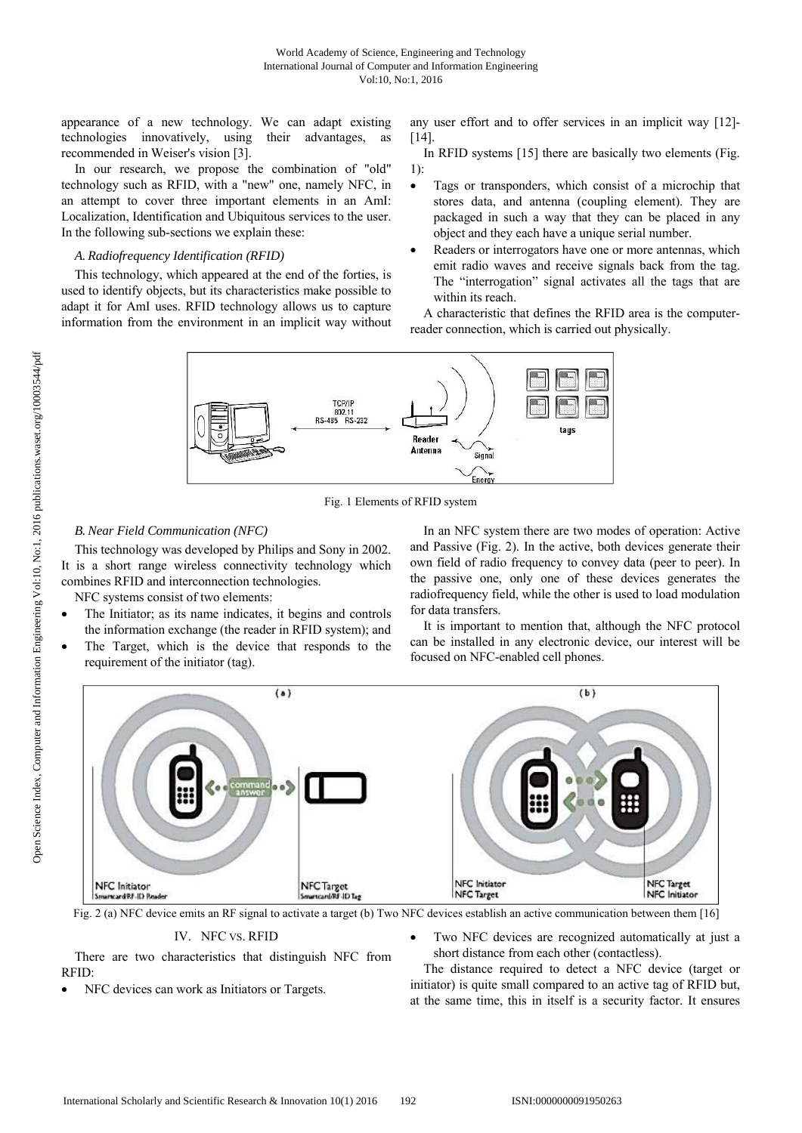appearance of a new technology. We can adapt existing technologies innovatively, using their advantages, as recommended in Weiser's vision [3].

In our research, we propose the combination of "old" technology such as RFID, with a "new" one, namely NFC, in an attempt to cover three important elements in an AmI: Localization, Identification and Ubiquitous services to the user. In the following sub-sections we explain these:

# *A. Radiofrequency Identification (RFID)*

This technology, which appeared at the end of the forties, is used to identify objects, but its characteristics make possible to adapt it for AmI uses. RFID technology allows us to capture information from the environment in an implicit way without any user effort and to offer services in an implicit way [12]-  $[14]$ .

In RFID systems [15] there are basically two elements (Fig. 1):

- Tags or transponders, which consist of a microchip that stores data, and antenna (coupling element). They are packaged in such a way that they can be placed in any object and they each have a unique serial number.
- Readers or interrogators have one or more antennas, which emit radio waves and receive signals back from the tag. The "interrogation" signal activates all the tags that are within its reach.

A characteristic that defines the RFID area is the computerreader connection, which is carried out physically.



Fig. 1 Elements of RFID system

# *B.Near Field Communication (NFC)*

This technology was developed by Philips and Sony in 2002. It is a short range wireless connectivity technology which combines RFID and interconnection technologies.

NFC systems consist of two elements:

- The Initiator; as its name indicates, it begins and controls the information exchange (the reader in RFID system); and
- The Target, which is the device that responds to the requirement of the initiator (tag).

In an NFC system there are two modes of operation: Active and Passive (Fig. 2). In the active, both devices generate their own field of radio frequency to convey data (peer to peer). In the passive one, only one of these devices generates the radiofrequency field, while the other is used to load modulation for data transfers.

It is important to mention that, although the NFC protocol can be installed in any electronic device, our interest will be focused on NFC-enabled cell phones.



Fig. 2 (a) NFC device emits an RF signal to activate a target (b) Two NFC devices establish an active communication between them [16]

IV. NFC VS. RFID

There are two characteristics that distinguish NFC from RFID:

- NFC devices can work as Initiators or Targets.
- Two NFC devices are recognized automatically at just a short distance from each other (contactless).

The distance required to detect a NFC device (target or initiator) is quite small compared to an active tag of RFID but, at the same time, this in itself is a security factor. It ensures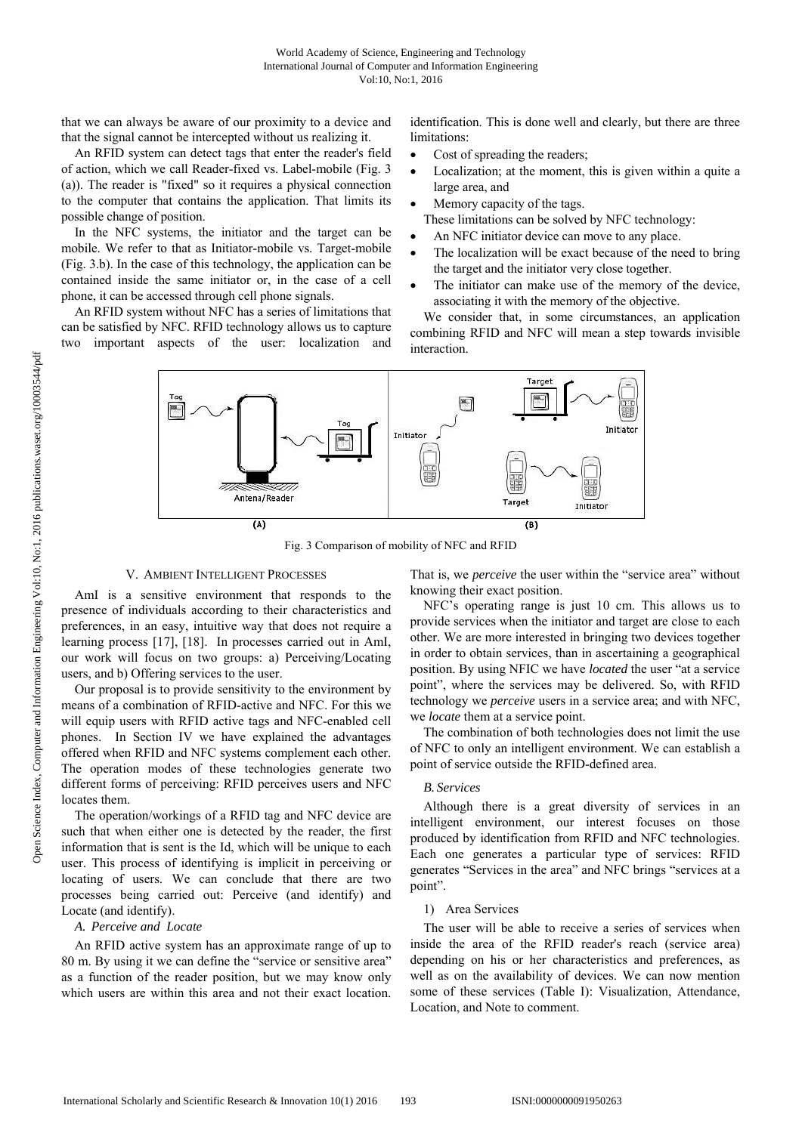that we can always be aware of our proximity to a device and that the signal cannot be intercepted without us realizing it.

An RFID system can detect tags that enter the reader's field of action, which we call Reader-fixed vs. Label-mobile (Fig. 3 (a)). The reader is "fixed" so it requires a physical connection to the computer that contains the application. That limits its possible change of position.

In the NFC systems, the initiator and the target can be mobile. We refer to that as Initiator-mobile vs. Target-mobile (Fig. 3.b). In the case of this technology, the application can be contained inside the same initiator or, in the case of a cell phone, it can be accessed through cell phone signals.

An RFID system without NFC has a series of limitations that can be satisfied by NFC. RFID technology allows us to capture two important aspects of the user: localization and identification. This is done well and clearly, but there are three limitations:

- Cost of spreading the readers;
- Localization; at the moment, this is given within a quite a large area, and
- Memory capacity of the tags.
	- These limitations can be solved by NFC technology:
- An NFC initiator device can move to any place.
- The localization will be exact because of the need to bring the target and the initiator very close together.
- The initiator can make use of the memory of the device, associating it with the memory of the objective.

We consider that, in some circumstances, an application combining RFID and NFC will mean a step towards invisible interaction.



Fig. 3 Comparison of mobility of NFC and RFID

## V. AMBIENT INTELLIGENT PROCESSES

AmI is a sensitive environment that responds to the presence of individuals according to their characteristics and preferences, in an easy, intuitive way that does not require a learning process [17], [18]. In processes carried out in AmI, our work will focus on two groups: a) Perceiving/Locating users, and b) Offering services to the user.

Our proposal is to provide sensitivity to the environment by means of a combination of RFID-active and NFC. For this we will equip users with RFID active tags and NFC-enabled cell phones. In Section IV we have explained the advantages offered when RFID and NFC systems complement each other. The operation modes of these technologies generate two different forms of perceiving: RFID perceives users and NFC locates them.

The operation/workings of a RFID tag and NFC device are such that when either one is detected by the reader, the first information that is sent is the Id, which will be unique to each user. This process of identifying is implicit in perceiving or locating of users. We can conclude that there are two processes being carried out: Perceive (and identify) and Locate (and identify).

# *A. Perceive and Locate*

An RFID active system has an approximate range of up to 80 m. By using it we can define the "service or sensitive area" as a function of the reader position, but we may know only which users are within this area and not their exact location. That is, we *perceive* the user within the "service area" without knowing their exact position.

NFC's operating range is just 10 cm. This allows us to provide services when the initiator and target are close to each other. We are more interested in bringing two devices together in order to obtain services, than in ascertaining a geographical position. By using NFIC we have *located* the user "at a service point", where the services may be delivered. So, with RFID technology we *perceive* users in a service area; and with NFC, we *locate* them at a service point.

The combination of both technologies does not limit the use of NFC to only an intelligent environment. We can establish a point of service outside the RFID-defined area.

## *B. Services*

Although there is a great diversity of services in an intelligent environment, our interest focuses on those produced by identification from RFID and NFC technologies. Each one generates a particular type of services: RFID generates "Services in the area" and NFC brings "services at a point".

## 1) Area Services

The user will be able to receive a series of services when inside the area of the RFID reader's reach (service area) depending on his or her characteristics and preferences, as well as on the availability of devices. We can now mention some of these services (Table I): Visualization, Attendance, Location, and Note to comment.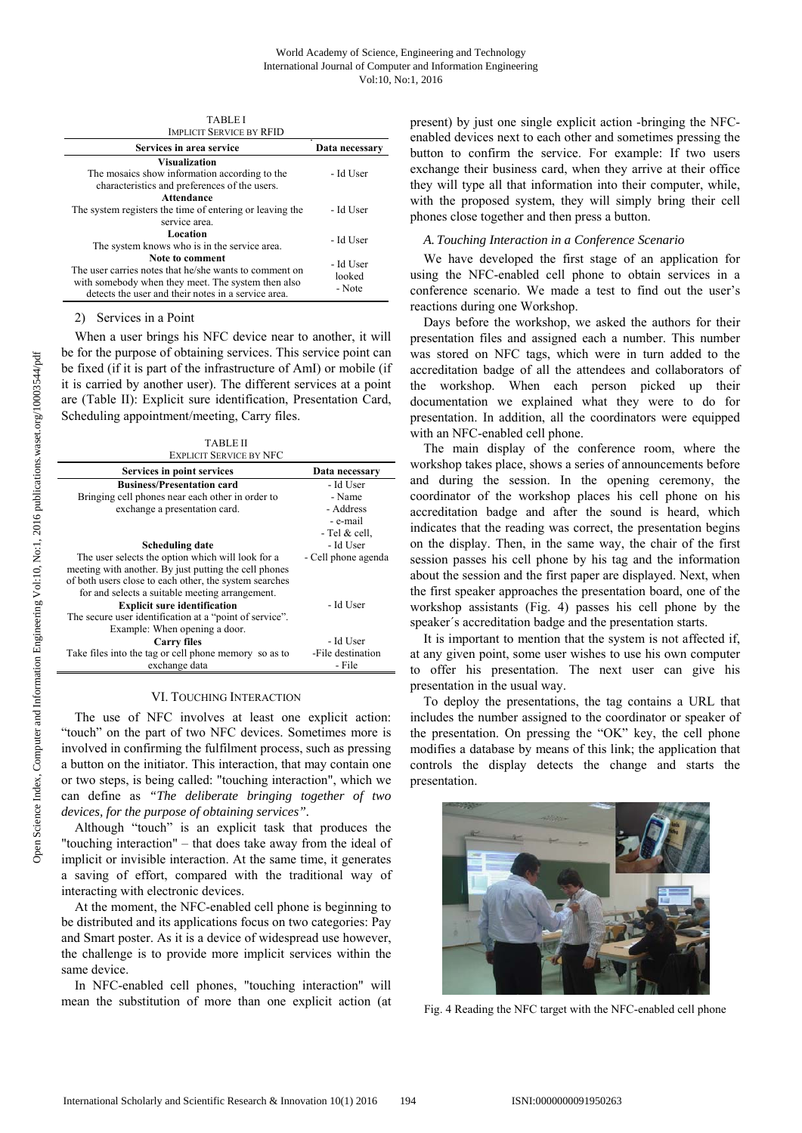| <b>IMPLICIT SERVICE BY RFID</b>                                                                                                                                                        |                               |  |
|----------------------------------------------------------------------------------------------------------------------------------------------------------------------------------------|-------------------------------|--|
| Services in area service                                                                                                                                                               | Data necessary                |  |
| <b>Visualization</b><br>The mosaics show information according to the<br>characteristics and preferences of the users.                                                                 | - Id User                     |  |
| Attendance<br>The system registers the time of entering or leaving the<br>service area.                                                                                                | - Id User                     |  |
| Location<br>The system knows who is in the service area.                                                                                                                               | - Id User                     |  |
| Note to comment<br>The user carries notes that he/she wants to comment on<br>with somebody when they meet. The system then also<br>detects the user and their notes in a service area. | - Id User<br>looked<br>- Note |  |

TABLE I

2) Services in a Point

When a user brings his NFC device near to another, it will be for the purpose of obtaining services. This service point can be fixed (if it is part of the infrastructure of AmI) or mobile (if it is carried by another user). The different services at a point are (Table II): Explicit sure identification, Presentation Card, Scheduling appointment/meeting, Carry files.

TABLE II EXPLICIT SERVICE BY NFC

| EAFLICH SERVICE BI INFO                                 |                     |
|---------------------------------------------------------|---------------------|
| Services in point services                              | Data necessary      |
| <b>Business/Presentation card</b>                       | - Id User           |
| Bringing cell phones near each other in order to        | - Name              |
| exchange a presentation card.                           | - Address           |
|                                                         | - e-mail            |
|                                                         | - Tel & cell.       |
| Scheduling date                                         | - Id User           |
| The user selects the option which will look for a       | - Cell phone agenda |
| meeting with another. By just putting the cell phones   |                     |
| of both users close to each other, the system searches  |                     |
| for and selects a suitable meeting arrangement.         |                     |
| <b>Explicit sure identification</b>                     | - Id User           |
| The secure user identification at a "point of service". |                     |
| Example: When opening a door.                           |                     |
| <b>Carry files</b>                                      | - Id User           |
| Take files into the tag or cell phone memory so as to   | -File destination   |
| exchange data                                           | - File              |

## VI. TOUCHING INTERACTION

The use of NFC involves at least one explicit action: "touch" on the part of two NFC devices. Sometimes more is involved in confirming the fulfilment process, such as pressing a button on the initiator. This interaction, that may contain one or two steps, is being called: "touching interaction", which we can define as *"The deliberate bringing together of two devices, for the purpose of obtaining services".* 

Although "touch" is an explicit task that produces the "touching interaction" – that does take away from the ideal of implicit or invisible interaction. At the same time, it generates a saving of effort, compared with the traditional way of interacting with electronic devices.

At the moment, the NFC-enabled cell phone is beginning to be distributed and its applications focus on two categories: Pay and Smart poster. As it is a device of widespread use however, the challenge is to provide more implicit services within the same device.

In NFC-enabled cell phones, "touching interaction" will mean the substitution of more than one explicit action (at present) by just one single explicit action -bringing the NFCenabled devices next to each other and sometimes pressing the button to confirm the service. For example: If two users exchange their business card, when they arrive at their office they will type all that information into their computer, while, with the proposed system, they will simply bring their cell phones close together and then press a button.

## *A. Touching Interaction in a Conference Scenario*

We have developed the first stage of an application for using the NFC-enabled cell phone to obtain services in a conference scenario. We made a test to find out the user's reactions during one Workshop.

Days before the workshop, we asked the authors for their presentation files and assigned each a number. This number was stored on NFC tags, which were in turn added to the accreditation badge of all the attendees and collaborators of the workshop. When each person picked up their documentation we explained what they were to do for presentation. In addition, all the coordinators were equipped with an NFC-enabled cell phone.

The main display of the conference room, where the workshop takes place, shows a series of announcements before and during the session. In the opening ceremony, the coordinator of the workshop places his cell phone on his accreditation badge and after the sound is heard, which indicates that the reading was correct, the presentation begins on the display. Then, in the same way, the chair of the first session passes his cell phone by his tag and the information about the session and the first paper are displayed. Next, when the first speaker approaches the presentation board, one of the workshop assistants (Fig. 4) passes his cell phone by the speaker´s accreditation badge and the presentation starts.

It is important to mention that the system is not affected if, at any given point, some user wishes to use his own computer to offer his presentation. The next user can give his presentation in the usual way.

To deploy the presentations, the tag contains a URL that includes the number assigned to the coordinator or speaker of the presentation. On pressing the "OK" key, the cell phone modifies a database by means of this link; the application that controls the display detects the change and starts the presentation.



Fig. 4 Reading the NFC target with the NFC-enabled cell phone